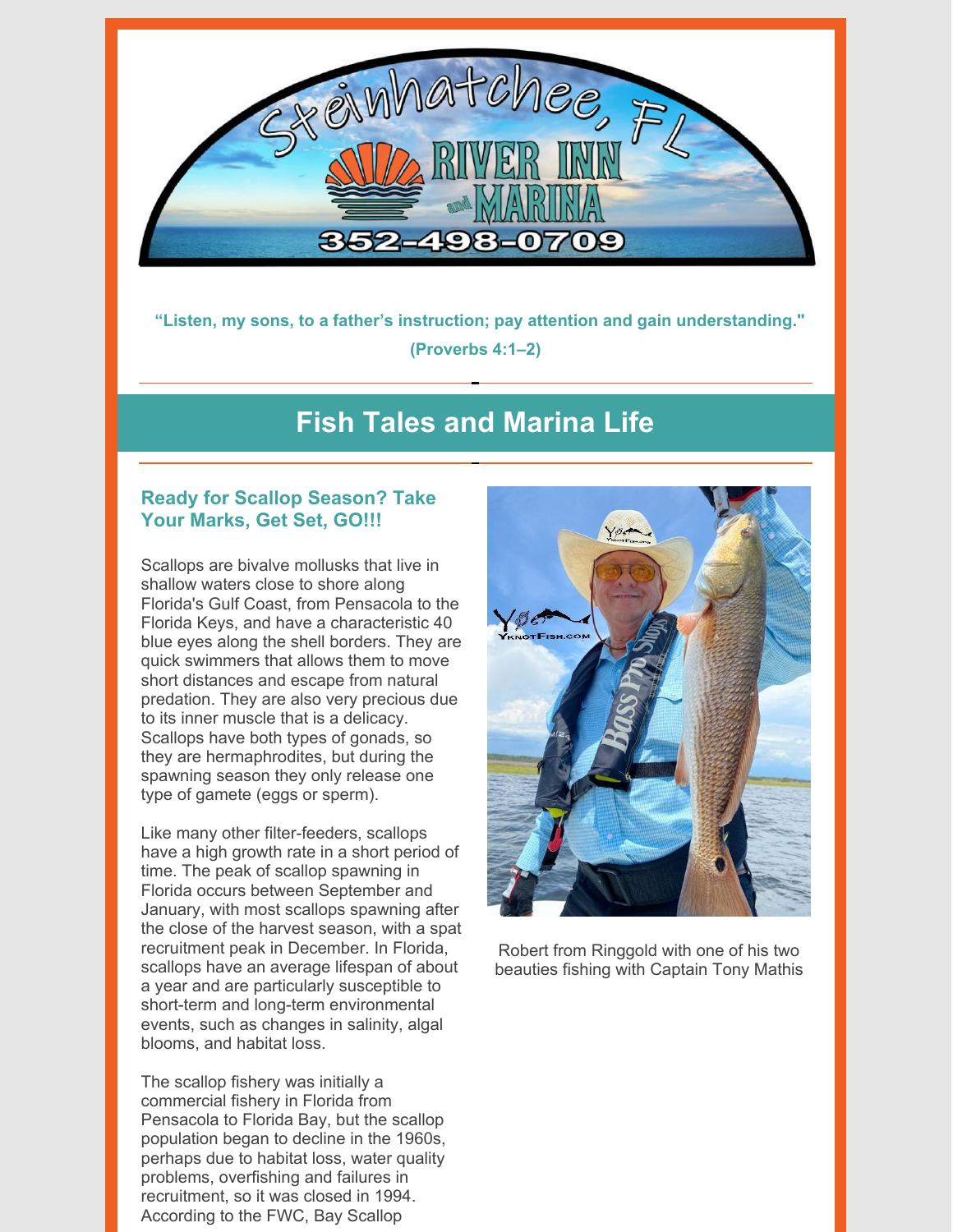

**"Listen, my sons, to a father's instruction; pay attention and gain understanding." (Proverbs 4:1–2)**

## **Fish Tales and Marina Life**

### **Ready for Scallop Season? Take Your Marks, Get Set, GO!!!**

Scallops are bivalve mollusks that live in shallow waters close to shore along Florida's Gulf Coast, from Pensacola to the Florida Keys, and have a characteristic 40 blue eyes along the shell borders. They are quick swimmers that allows them to move short distances and escape from natural predation. They are also very precious due to its inner muscle that is a delicacy. Scallops have both types of gonads, so they are hermaphrodites, but during the spawning season they only release one type of gamete (eggs or sperm).

Like many other filter-feeders, scallops have a high growth rate in a short period of time. The peak of scallop spawning in Florida occurs between September and January, with most scallops spawning after the close of the harvest season, with a spat recruitment peak in December. In Florida, scallops have an average lifespan of about a year and are particularly susceptible to short-term and long-term environmental events, such as changes in salinity, algal blooms, and habitat loss.

The scallop fishery was initially a commercial fishery in Florida from Pensacola to Florida Bay, but the scallop population began to decline in the 1960s, perhaps due to habitat loss, water quality problems, overfishing and failures in recruitment, so it was closed in 1994. According to the FWC, Bay Scallop



Robert from Ringgold with one of his two beauties fishing with Captain Tony Mathis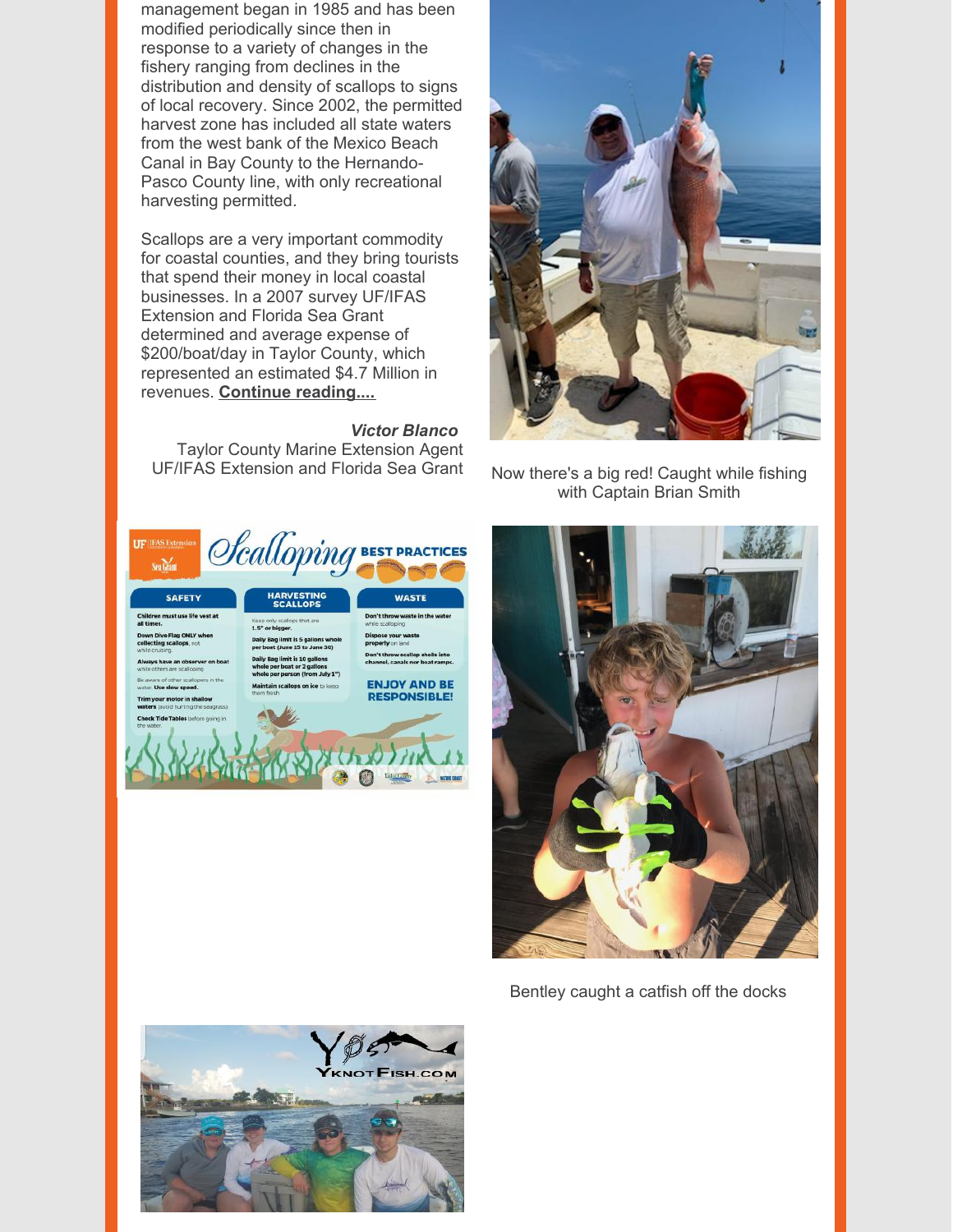management began in 1985 and has been modified periodically since then in response to a variety of changes in the fishery ranging from declines in the distribution and density of scallops to signs of local recovery. Since 2002, the permitted harvest zone has included all state waters from the west bank of the Mexico Beach Canal in Bay County to the Hernando-Pasco County line, with only recreational harvesting permitted.

Scallops are a very important commodity for coastal counties, and they bring tourists that spend their money in local coastal businesses. In a 2007 survey UF/IFAS Extension and Florida Sea Grant determined and average expense of \$200/boat/day in Taylor County, which represented an estimated \$4.7 Million in revenues. **Continue [reading....](https://files.constantcontact.com/0408da33701/75bb3a4c-a1cb-4d0d-a20c-37f1749ac02a.pdf)**

#### *Victor Blanco*

Taylor County Marine Extension Agent UF/IFAS Extension and Florida Sea Grant Now there's a big red! Caught while fishing





with Captain Brian Smith



Bentley caught a catfish off the docks

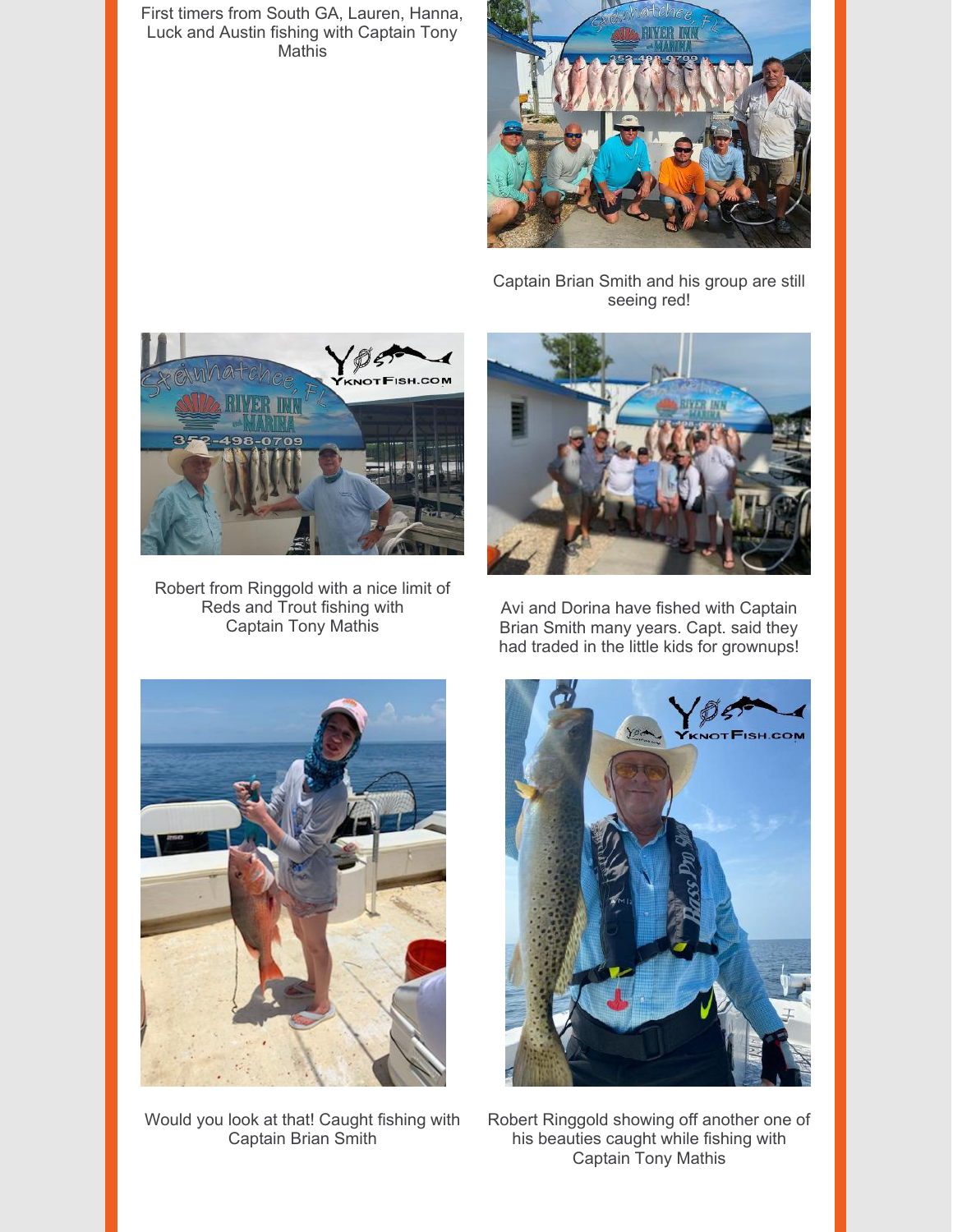First timers from South GA, Lauren, Hanna, Luck and Austin fishing with Captain Tony **Mathis** 



Captain Brian Smith and his group are still seeing red!



Robert from Ringgold with a nice limit of Reds and Trout fishing with Captain Tony Mathis



Avi and Dorina have fished with Captain Brian Smith many years. Capt. said they had traded in the little kids for grownups!



Would you look at that! Caught fishing with Captain Brian Smith



Robert Ringgold showing off another one of his beauties caught while fishing with Captain Tony Mathis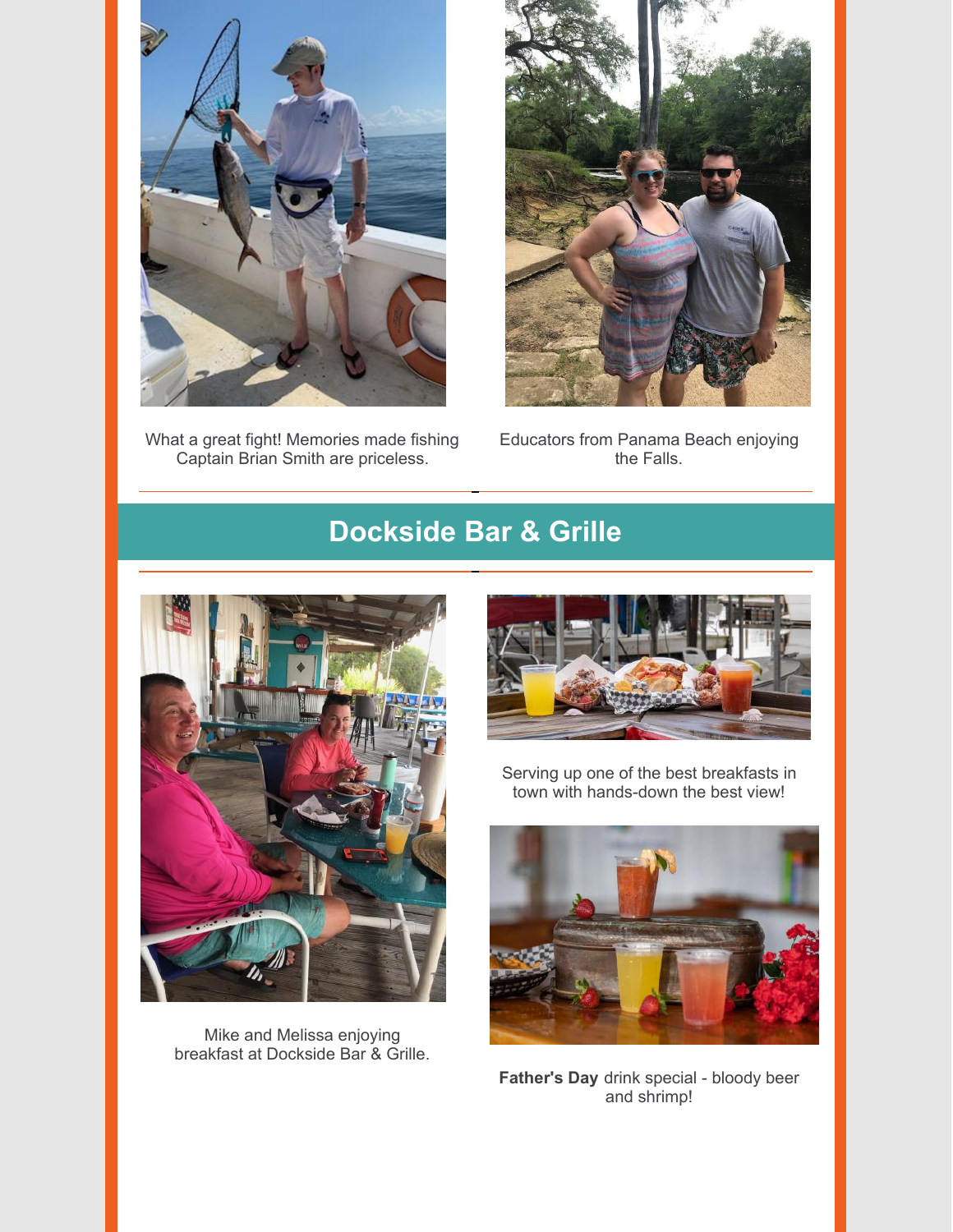

What a great fight! Memories made fishing Captain Brian Smith are priceless.



Educators from Panama Beach enjoying the Falls.

# **Dockside Bar & Grille**



Mike and Melissa enjoying breakfast at Dockside Bar & Grille.



Serving up one of the best breakfasts in town with hands-down the best view!



**Father's Day** drink special - bloody beer and shrimp!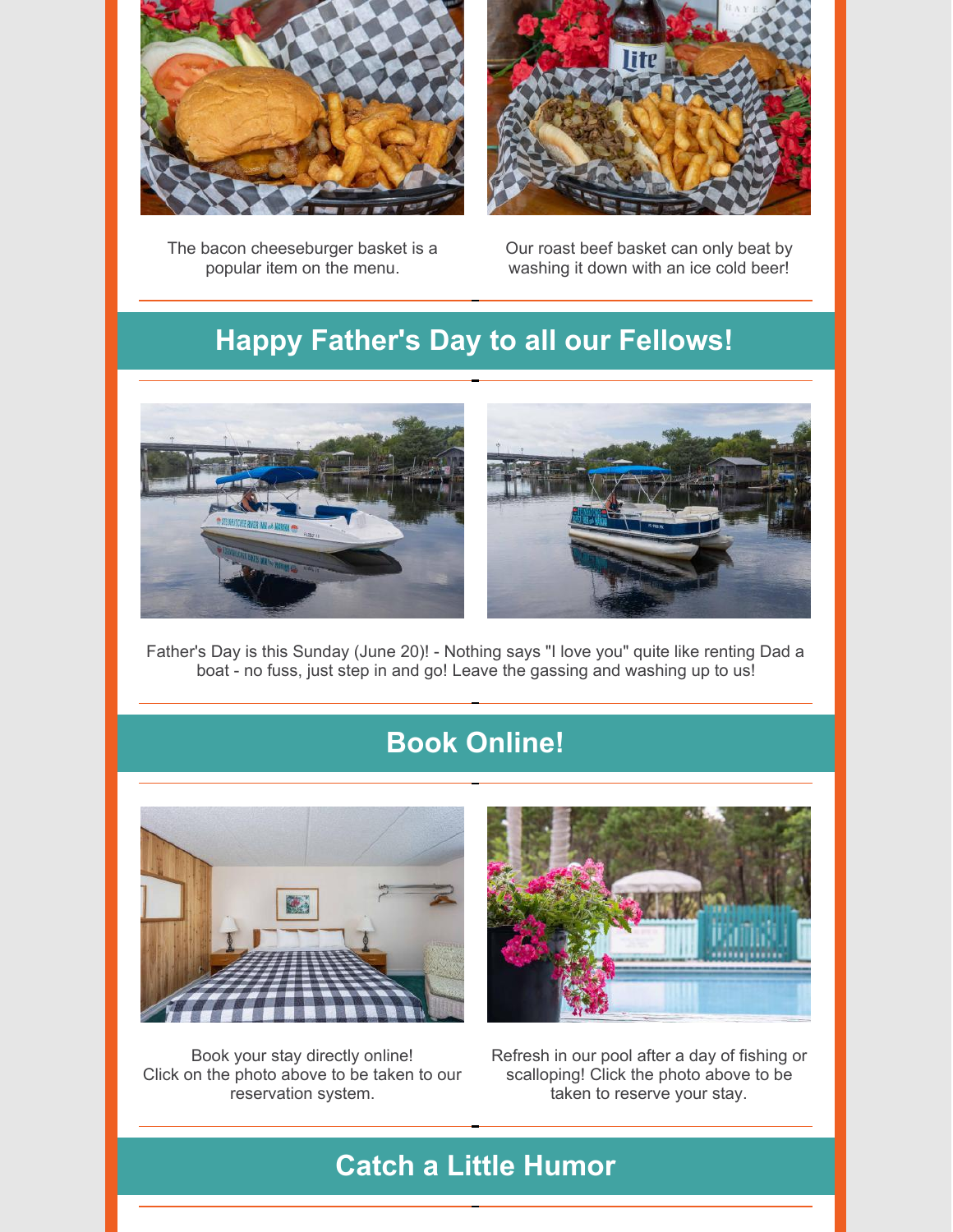

The bacon cheeseburger basket is a popular item on the menu.



Our roast beef basket can only beat by washing it down with an ice cold beer!

# **Happy Father's Day to all our Fellows!**



Father's Day is this Sunday (June 20)! - Nothing says "I love you" quite like renting Dad a boat - no fuss, just step in and go! Leave the gassing and washing up to us!

# **Book Online!**



Book your stay directly online! Click on the photo above to be taken to our reservation system.

Refresh in our pool after a day of fishing or scalloping! Click the photo above to be taken to reserve your stay.

# **Catch a Little Humor**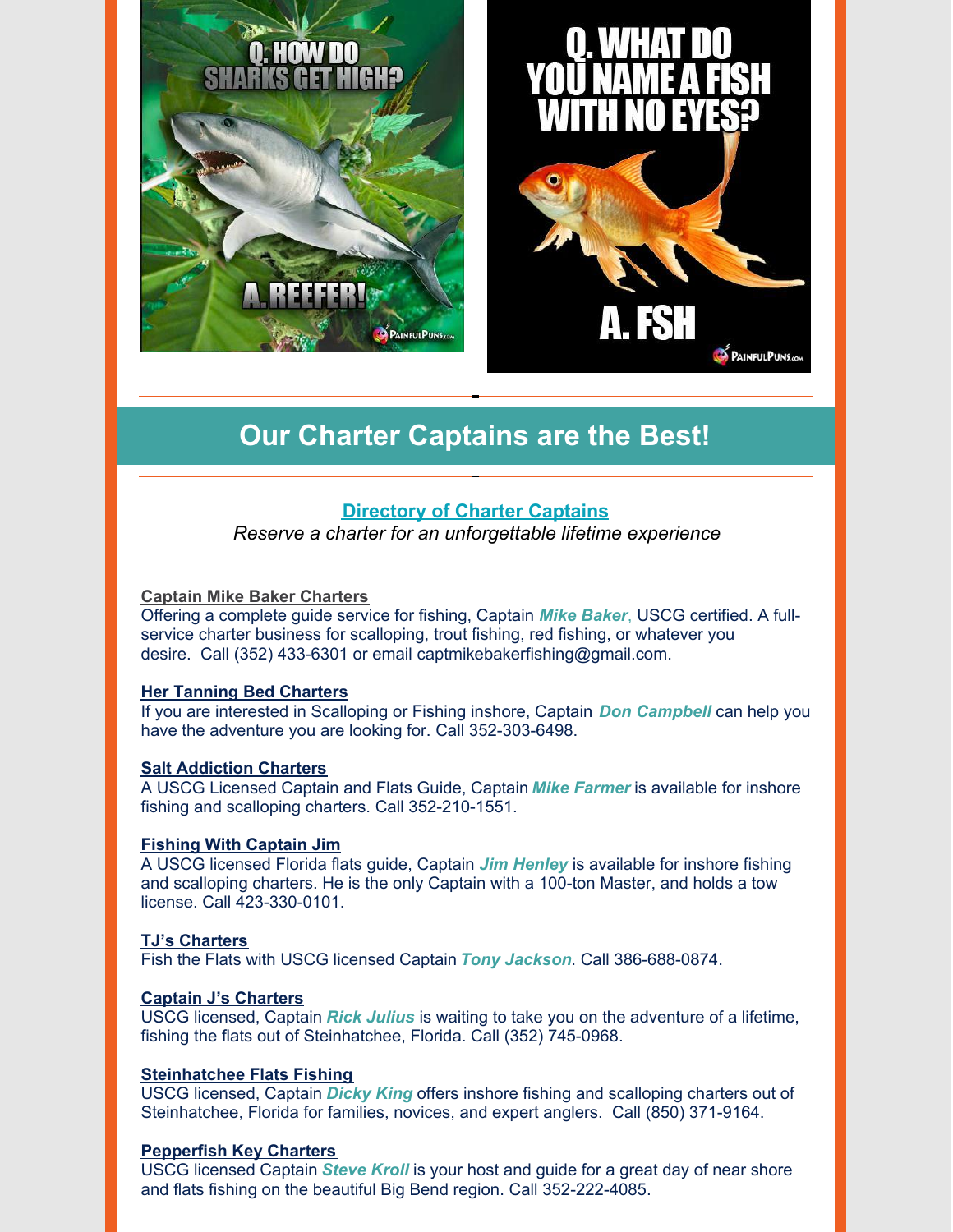



**Our Charter Captains are the Best!**

### **[Directory](https://www.riverinnandmarina.com/fishing) of Charter Captains**

*Reserve a charter for an unforgettable lifetime experience*

#### **Captain Mike Baker [Charters](https://www.facebook.com/Steinhatcheecharterfishing/)**

Offering a complete guide service for fishing, Captain *Mike Baker*, USCG certified. A fullservice charter business for scalloping, trout fishing, red fishing, or whatever you desire. Call (352) 433-6301 or email captmikebakerfishing@gmail.com.

### **Her Tanning Bed [Charters](http://www.hertanningbedscallopcharters.com/)**

If you are interested in Scalloping or Fishing inshore, Captain *Don Campbell* can help you have the adventure you are looking for. Call 352-303-6498.

#### **Salt [Addiction](https://www.sa-charters.com/) Charters**

A USCG Licensed Captain and Flats Guide, Captain *Mike Farmer* is available for inshore fishing and scalloping charters. Call 352-210-1551.

### **Fishing With [Captain](http://fishingwithcaptainjim.com/) Jim**

A USCG licensed Florida flats guide, Captain *Jim Henley* is available for inshore fishing and scalloping charters. He is the only Captain with a 100-ton Master, and holds a tow license. Call 423-330-0101.

### **TJ's [Charters](http://www.tjscharters.com/)**

Fish the Flats with USCG licensed Captain *Tony Jackson*. Call 386-688-0874.

#### **Captain J's [Charters](https://www.facebook.com/captainjcharters/)**

USCG licensed, Captain *Rick Julius* is waiting to take you on the adventure of a lifetime, fishing the flats out of Steinhatchee, Florida. Call (352) 745-0968.

#### **[Steinhatchee](https://www.facebook.com/pg/cptndickyking/about/?ref=page_internal) Flats Fishing**

USCG licensed, Captain *Dicky King* offers inshore fishing and scalloping charters out of Steinhatchee, Florida for families, novices, and expert anglers. Call (850) 371-9164.

#### **[Pepperfish](https://www.pepperfishkey.com/) Key Charters**

USCG licensed Captain *Steve Kroll* is your host and guide for a great day of near shore and flats fishing on the beautiful Big Bend region. Call 352-222-4085.